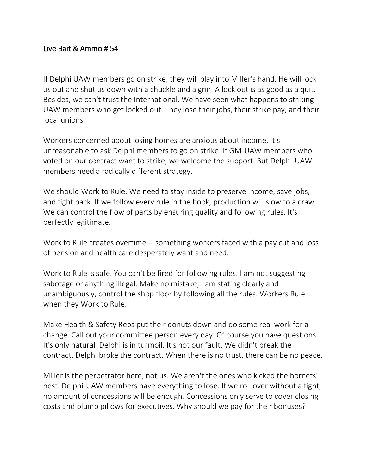## Live Bait & Ammo # 54

If Delphi UAW members go on strike, they will play into Miller's hand. He will lock us out and shut us down with a chuckle and a grin. A lock out is as good as a quit. Besides, we can't trust the International. We have seen what happens to striking UAW members who get locked out. They lose their jobs, their strike pay, and their local unions.

Workers concerned about losing homes are anxious about income. It's unreasonable to ask Delphi members to go on strike. If GM-UAW members who voted on our contract want to strike, we welcome the support. But Delphi-UAW members need a radically different strategy.

We should Work to Rule. We need to stay inside to preserve income, save jobs, and fight back. If we follow every rule in the book, production will slow to a crawl. We can control the flow of parts by ensuring quality and following rules. It's perfectly legitimate.

Work to Rule creates overtime -- something workers faced with a pay cut and loss of pension and health care desperately want and need.

Work to Rule is safe. You can't be fired for following rules. I am not suggesting sabotage or anything illegal. Make no mistake, I am stating clearly and unambiguously, control the shop floor by following all the rules. Workers Rule when they Work to Rule.

Make Health & Safety Reps put their donuts down and do some real work for a change. Call out your committee person every day. Of course you have questions. It's only natural. Delphi is in turmoil. It's not our fault. We didn't break the contract. Delphi broke the contract. When there is no trust, there can be no peace.

Miller is the perpetrator here, not us. We aren't the ones who kicked the hornets' nest. Delphi-UAW members have everything to lose. If we roll over without a fight, no amount of concessions will be enough. Concessions only serve to cover closing costs and plump pillows for executives. Why should we pay for their bonuses?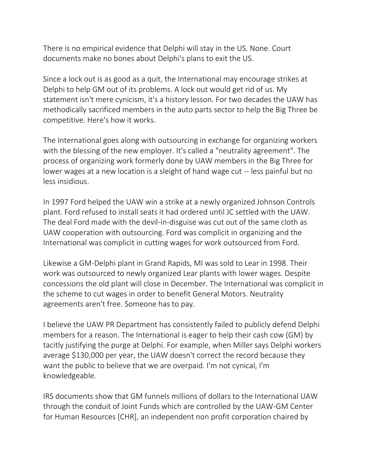There is no empirical evidence that Delphi will stay in the US. None. Court documents make no bones about Delphi's plans to exit the US.

Since a lock out is as good as a quit, the International may encourage strikes at Delphi to help GM out of its problems. A lock out would get rid of us. My statement isn't mere cynicism, it's a history lesson. For two decades the UAW has methodically sacrificed members in the auto parts sector to help the Big Three be competitive. Here's how it works.

The International goes along with outsourcing in exchange for organizing workers with the blessing of the new employer. It's called a "neutrality agreement". The process of organizing work formerly done by UAW members in the Big Three for lower wages at a new location is a sleight of hand wage cut -- less painful but no less insidious.

In 1997 Ford helped the UAW win a strike at a newly organized Johnson Controls plant. Ford refused to install seats it had ordered until JC settled with the UAW. The deal Ford made with the devil-in-disguise was cut out of the same cloth as UAW cooperation with outsourcing. Ford was complicit in organizing and the International was complicit in cutting wages for work outsourced from Ford.

Likewise a GM-Delphi plant in Grand Rapids, MI was sold to Lear in 1998. Their work was outsourced to newly organized Lear plants with lower wages. Despite concessions the old plant will close in December. The International was complicit in the scheme to cut wages in order to benefit General Motors. Neutrality agreements aren't free. Someone has to pay.

I believe the UAW PR Department has consistently failed to publicly defend Delphi members for a reason. The International is eager to help their cash cow (GM) by tacitly justifying the purge at Delphi. For example, when Miller says Delphi workers average \$130,000 per year, the UAW doesn't correct the record because they want the public to believe that we are overpaid. I'm not cynical, I'm knowledgeable.

IRS documents show that GM funnels millions of dollars to the International UAW through the conduit of Joint Funds which are controlled by the UAW-GM Center for Human Resources [CHR], an independent non profit corporation chaired by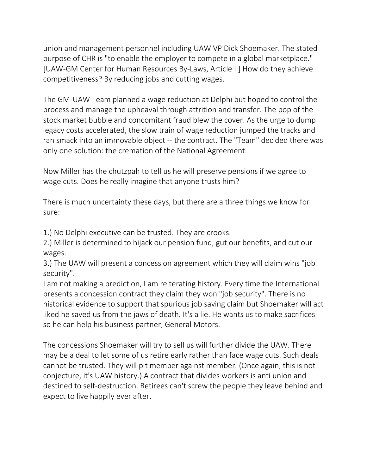union and management personnel including UAW VP Dick Shoemaker. The stated purpose of CHR is "to enable the employer to compete in a global marketplace." [UAW-GM Center for Human Resources By-Laws, Article II] How do they achieve competitiveness? By reducing jobs and cutting wages.

The GM-UAW Team planned a wage reduction at Delphi but hoped to control the process and manage the upheaval through attrition and transfer. The pop of the stock market bubble and concomitant fraud blew the cover. As the urge to dump legacy costs accelerated, the slow train of wage reduction jumped the tracks and ran smack into an immovable object -- the contract. The "Team" decided there was only one solution: the cremation of the National Agreement.

Now Miller has the chutzpah to tell us he will preserve pensions if we agree to wage cuts. Does he really imagine that anyone trusts him?

There is much uncertainty these days, but there are a three things we know for sure:

1.) No Delphi executive can be trusted. They are crooks.

2.) Miller is determined to hijack our pension fund, gut our benefits, and cut our wages.

3.) The UAW will present a concession agreement which they will claim wins "job security".

I am not making a prediction, I am reiterating history. Every time the International presents a concession contract they claim they won "job security". There is no historical evidence to support that spurious job saving claim but Shoemaker will act liked he saved us from the jaws of death. It's a lie. He wants us to make sacrifices so he can help his business partner, General Motors.

The concessions Shoemaker will try to sell us will further divide the UAW. There may be a deal to let some of us retire early rather than face wage cuts. Such deals cannot be trusted. They will pit member against member. (Once again, this is not conjecture, it's UAW history.) A contract that divides workers is anti union and destined to self-destruction. Retirees can't screw the people they leave behind and expect to live happily ever after.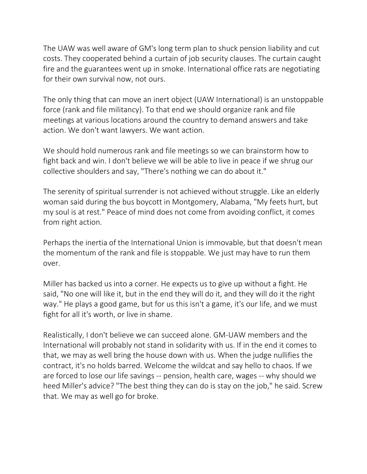The UAW was well aware of GM's long term plan to shuck pension liability and cut costs. They cooperated behind a curtain of job security clauses. The curtain caught fire and the guarantees went up in smoke. International office rats are negotiating for their own survival now, not ours.

The only thing that can move an inert object (UAW International) is an unstoppable force (rank and file militancy). To that end we should organize rank and file meetings at various locations around the country to demand answers and take action. We don't want lawyers. We want action.

We should hold numerous rank and file meetings so we can brainstorm how to fight back and win. I don't believe we will be able to live in peace if we shrug our collective shoulders and say, "There's nothing we can do about it."

The serenity of spiritual surrender is not achieved without struggle. Like an elderly woman said during the bus boycott in Montgomery, Alabama, "My feets hurt, but my soul is at rest." Peace of mind does not come from avoiding conflict, it comes from right action.

Perhaps the inertia of the International Union is immovable, but that doesn't mean the momentum of the rank and file is stoppable. We just may have to run them over.

Miller has backed us into a corner. He expects us to give up without a fight. He said, "No one will like it, but in the end they will do it, and they will do it the right way." He plays a good game, but for us this isn't a game, it's our life, and we must fight for all it's worth, or live in shame.

Realistically, I don't believe we can succeed alone. GM-UAW members and the International will probably not stand in solidarity with us. If in the end it comes to that, we may as well bring the house down with us. When the judge nullifies the contract, it's no holds barred. Welcome the wildcat and say hello to chaos. If we are forced to lose our life savings -- pension, health care, wages -- why should we heed Miller's advice? "The best thing they can do is stay on the job," he said. Screw that. We may as well go for broke.